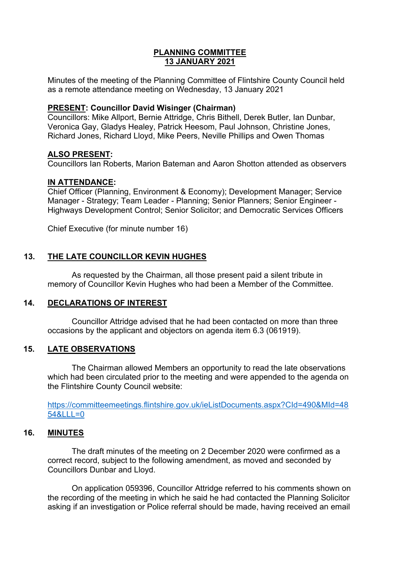### **PLANNING COMMITTEE 13 JANUARY 2021**

Minutes of the meeting of the Planning Committee of Flintshire County Council held as a remote attendance meeting on Wednesday, 13 January 2021

## **PRESENT: Councillor David Wisinger (Chairman)**

Councillors: Mike Allport, Bernie Attridge, Chris Bithell, Derek Butler, Ian Dunbar, Veronica Gay, Gladys Healey, Patrick Heesom, Paul Johnson, Christine Jones, Richard Jones, Richard Lloyd, Mike Peers, Neville Phillips and Owen Thomas

## **ALSO PRESENT:**

Councillors Ian Roberts, Marion Bateman and Aaron Shotton attended as observers

## **IN ATTENDANCE:**

Chief Officer (Planning, Environment & Economy); Development Manager; Service Manager - Strategy; Team Leader - Planning; Senior Planners; Senior Engineer - Highways Development Control; Senior Solicitor; and Democratic Services Officers

Chief Executive (for minute number 16)

# **13. THE LATE COUNCILLOR KEVIN HUGHES**

As requested by the Chairman, all those present paid a silent tribute in memory of Councillor Kevin Hughes who had been a Member of the Committee.

## **14. DECLARATIONS OF INTEREST**

Councillor Attridge advised that he had been contacted on more than three occasions by the applicant and objectors on agenda item 6.3 (061919).

#### **15. LATE OBSERVATIONS**

The Chairman allowed Members an opportunity to read the late observations which had been circulated prior to the meeting and were appended to the agenda on the Flintshire County Council website:

[https://committeemeetings.flintshire.gov.uk/ieListDocuments.aspx?CId=490&MId=48](https://committeemeetings.flintshire.gov.uk/ieListDocuments.aspx?CId=490&MId=4854&LLL=0) [54&LLL=0](https://committeemeetings.flintshire.gov.uk/ieListDocuments.aspx?CId=490&MId=4854&LLL=0)

#### **16. MINUTES**

The draft minutes of the meeting on 2 December 2020 were confirmed as a correct record, subject to the following amendment, as moved and seconded by Councillors Dunbar and Lloyd.

On application 059396, Councillor Attridge referred to his comments shown on the recording of the meeting in which he said he had contacted the Planning Solicitor asking if an investigation or Police referral should be made, having received an email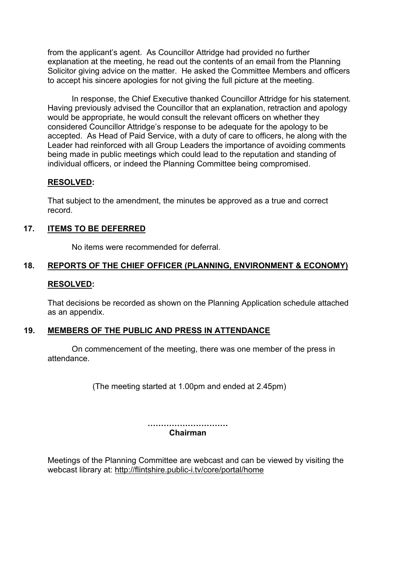from the applicant's agent. As Councillor Attridge had provided no further explanation at the meeting, he read out the contents of an email from the Planning Solicitor giving advice on the matter. He asked the Committee Members and officers to accept his sincere apologies for not giving the full picture at the meeting.

In response, the Chief Executive thanked Councillor Attridge for his statement. Having previously advised the Councillor that an explanation, retraction and apology would be appropriate, he would consult the relevant officers on whether they considered Councillor Attridge's response to be adequate for the apology to be accepted. As Head of Paid Service, with a duty of care to officers, he along with the Leader had reinforced with all Group Leaders the importance of avoiding comments being made in public meetings which could lead to the reputation and standing of individual officers, or indeed the Planning Committee being compromised.

#### **RESOLVED:**

That subject to the amendment, the minutes be approved as a true and correct record.

## **17. ITEMS TO BE DEFERRED**

No items were recommended for deferral.

# **18. REPORTS OF THE CHIEF OFFICER (PLANNING, ENVIRONMENT & ECONOMY)**

#### **RESOLVED:**

That decisions be recorded as shown on the Planning Application schedule attached as an appendix.

#### **19. MEMBERS OF THE PUBLIC AND PRESS IN ATTENDANCE**

On commencement of the meeting, there was one member of the press in attendance.

(The meeting started at 1.00pm and ended at 2.45pm)

**………………………… Chairman**

Meetings of the Planning Committee are webcast and can be viewed by visiting the webcast library at: <http://flintshire.public-i.tv/core/portal/home>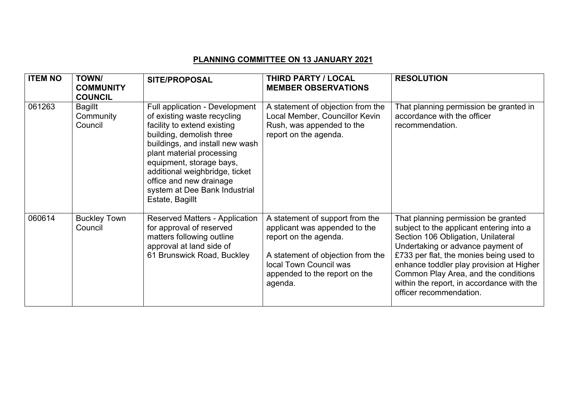# **PLANNING COMMITTEE ON 13 JANUARY 2021**

| <b>ITEM NO</b> | <b>TOWN/</b><br><b>COMMUNITY</b><br><b>COUNCIL</b> | <b>SITE/PROPOSAL</b>                                                                                                                                                                                                                                                                                                                  | <b>THIRD PARTY / LOCAL</b><br><b>MEMBER OBSERVATIONS</b>                                                                                                                                             | <b>RESOLUTION</b>                                                                                                                                                                                                                                                                                                                                                 |
|----------------|----------------------------------------------------|---------------------------------------------------------------------------------------------------------------------------------------------------------------------------------------------------------------------------------------------------------------------------------------------------------------------------------------|------------------------------------------------------------------------------------------------------------------------------------------------------------------------------------------------------|-------------------------------------------------------------------------------------------------------------------------------------------------------------------------------------------------------------------------------------------------------------------------------------------------------------------------------------------------------------------|
| 061263         | <b>Bagillt</b><br>Community<br>Council             | Full application - Development<br>of existing waste recycling<br>facility to extend existing<br>building, demolish three<br>buildings, and install new wash<br>plant material processing<br>equipment, storage bays,<br>additional weighbridge, ticket<br>office and new drainage<br>system at Dee Bank Industrial<br>Estate, Bagillt | A statement of objection from the<br>Local Member, Councillor Kevin<br>Rush, was appended to the<br>report on the agenda.                                                                            | That planning permission be granted in<br>accordance with the officer<br>recommendation.                                                                                                                                                                                                                                                                          |
| 060614         | <b>Buckley Town</b><br>Council                     | <b>Reserved Matters - Application</b><br>for approval of reserved<br>matters following outline<br>approval at land side of<br>61 Brunswick Road, Buckley                                                                                                                                                                              | A statement of support from the<br>applicant was appended to the<br>report on the agenda.<br>A statement of objection from the<br>local Town Council was<br>appended to the report on the<br>agenda. | That planning permission be granted<br>subject to the applicant entering into a<br>Section 106 Obligation, Unilateral<br>Undertaking or advance payment of<br>£733 per flat, the monies being used to<br>enhance toddler play provision at Higher<br>Common Play Area, and the conditions<br>within the report, in accordance with the<br>officer recommendation. |